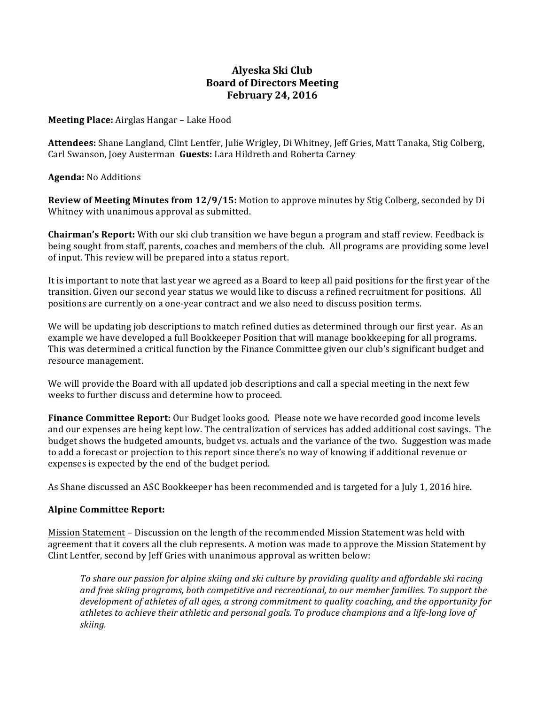# **Alyeska Ski Club Board of Directors Meeting February 24, 2016**

### **Meeting Place:** Airglas Hangar - Lake Hood

**Attendees:** Shane Langland, Clint Lentfer, Julie Wrigley, Di Whitney, Jeff Gries, Matt Tanaka, Stig Colberg, Carl Swanson, Joey Austerman Guests: Lara Hildreth and Roberta Carney

#### **Agenda:** No Additions

**Review of Meeting Minutes from 12/9/15:** Motion to approve minutes by Stig Colberg, seconded by Di Whitney with unanimous approval as submitted.

**Chairman's Report:** With our ski club transition we have begun a program and staff review. Feedback is being sought from staff, parents, coaches and members of the club. All programs are providing some level of input. This review will be prepared into a status report.

It is important to note that last year we agreed as a Board to keep all paid positions for the first year of the transition. Given our second year status we would like to discuss a refined recruitment for positions. All positions are currently on a one-year contract and we also need to discuss position terms.

We will be updating job descriptions to match refined duties as determined through our first year. As an example we have developed a full Bookkeeper Position that will manage bookkeeping for all programs. This was determined a critical function by the Finance Committee given our club's significant budget and resource management.

We will provide the Board with all updated job descriptions and call a special meeting in the next few weeks to further discuss and determine how to proceed.

**Finance Committee Report:** Our Budget looks good. Please note we have recorded good income levels and our expenses are being kept low. The centralization of services has added additional cost savings. The budget shows the budgeted amounts, budget vs. actuals and the variance of the two. Suggestion was made to add a forecast or projection to this report since there's no way of knowing if additional revenue or expenses is expected by the end of the budget period.

As Shane discussed an ASC Bookkeeper has been recommended and is targeted for a July 1, 2016 hire.

## **Alpine Committee Report:**

Mission Statement - Discussion on the length of the recommended Mission Statement was held with agreement that it covers all the club represents. A motion was made to approve the Mission Statement by Clint Lentfer, second by Jeff Gries with unanimous approval as written below:

To share our passion for alpine skiing and ski culture by providing quality and affordable ski racing and free skiing programs, both competitive and recreational, to our member families. To support the development of athletes of all ages, a strong commitment to quality coaching, and the opportunity for athletes to achieve their athletic and personal goals. To produce champions and a life-long love of *skiing.*